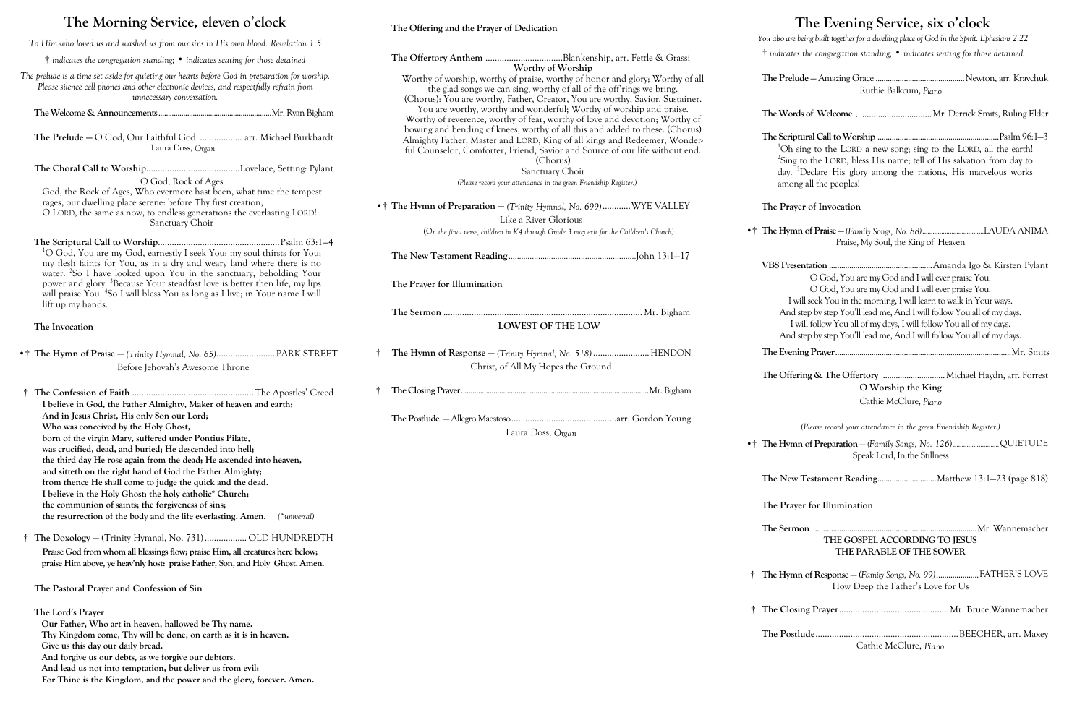# **The Morning Service, eleven o**'**clock**

**was crucified, dead, and buried; He descended into hell;** 

**the third day He rose again from the dead; He ascended into heaven,** 

*To Him who loved us and washed us from our sins in His own blood. Revelation 1:5* † *indicates the congregation standing;* • *indicates seating for those detained The prelude is a time set aside for quieting our hearts before God in preparation for worship. Please silence cell phones and other electronic devices, and respectfully refrain from unnecessary conversation.* **The Welcome & Announcements**...........................................................Mr. Ryan Bigham **The Prelude —** O God, Our Faithful God .................. arr. Michael Burkhardt Laura Doss, *Organ* **The Choral Call to Worship**........................................Lovelace, Setting: Pylant O God, Rock of Ages God, the Rock of Ages, Who evermore hast been, what time the tempest rages, our dwelling place serene: before Thy first creation, O LORD, the same as now, to endless generations the everlasting LORD! Sanctuary Choir **The Scriptural Call to Worship**....................................................Psalm 63:1—4 <sup>1</sup>O God, You are my God, earnestly I seek You; my soul thirsts for You; my flesh faints for You, as in a dry and weary land where there is no water. <sup>2</sup>So I have looked upon You in the sanctuary, beholding Your power and glory. <sup>3</sup>Because Your steadfast love is better then life, my lips will praise You. <sup>4</sup> So I will bless You as long as I live; in Your name I will lift up my hands. **The Invocation** •† **The Hymn of Praise —** *(Trinity Hymnal, No. 65)*......................... PARK STREET Before Jehovah's Awesome Throne † **The Confession of Faith** ....................................................The Apostles' Creed **I believe in God, the Father Almighty, Maker of heaven and earth; And in Jesus Christ, His only Son our Lord; Who was conceived by the Holy Ghost, born of the virgin Mary, suffered under Pontius Pilate, The Offertory Anthem** .................................Blankenship, arr. Fettle & Grassi **The Prayer for Illumination**

**and sitteth on the right hand of God the Father Almighty; from thence He shall come to judge the quick and the dead. I believe in the Holy Ghost; the holy catholic\* Church; the communion of saints; the forgiveness of sins;**

**the resurrection of the body and the life everlasting. Amen.** *(\*universal)*

 † **The Doxology —** (Trinity Hymnal, No. 731).................. OLD HUNDREDTH **Praise God from whom all blessings flow; praise Him, all creatures here below; praise Him above, ye heav'nly host: praise Father, Son, and Holy Ghost. Amen.**

**The Pastoral Prayer and Confession of Sin**

**The Lord's Prayer** 

**Our Father, Who art in heaven, hallowed be Thy name.**

**Thy Kingdom come, Thy will be done, on earth as it is in heaven.**

**Give us this day our daily bread.** 

**And forgive us our debts, as we forgive our debtors.**

**And lead us not into temptation, but deliver us from evil:**

**For Thine is the Kingdom, and the power and the glory, forever. Amen.**

# **The Offering and the Prayer of Dedication**

# **The Evening Service, six o'clock**

| Ruthie Balkcum, Piano |  |  |
|-----------------------|--|--|

- 
- 

*You also are being built together for a dwelling place of God in the Spirit. Ephesians 2:22* † *indicates the congregation standing;* • *indicates seating for those detained*

**Worthy of Worship** Worthy of worship, worthy of praise, worthy of honor and glory; Worthy of all the glad songs we can sing, worthy of all of the off'rings we bring. (Chorus): You are worthy, Father, Creator, You are worthy, Savior, Sustainer. You are worthy, worthy and wonderful; Worthy of worship and praise. Worthy of reverence, worthy of fear, worthy of love and devotion; Worthy of bowing and bending of knees, worthy of all this and added to these. (Chorus) Almighty Father, Master and LORD, King of all kings and Redeemer, Wonderful Counselor, Comforter, Friend, Savior and Source of our life without end. (Chorus) Sanctuary Choir *(Please record your attendance in the green Friendship Register.)* •† The Hymn of Preparation — (Trinity Hymnal, No. 699)............WYE VALLEY Like a River Glorious (O*n the final verse, children in K4 through Grade 3 may exit for the Children's Church)* **The New Testament Reading** ............................................................John 13:1—17 **The Sermon** ..................................................................................... Mr. Bigham **LOWEST OF THE LOW** † **The Hymn of Response —** *(Trinity Hymnal, No. 518)* ........................HENDON Christ, of All My Hopes the Ground † **The Closing Prayer**..................................................................................................Mr. Bigham **The Postlude —**Allegro Maestoso.............................................arr. Gordon Young Laura Doss, *Organ* The Prelu Ruthie Balkcum, *Piano* **The Words of Welcome** Mr. Derrick Smits, Ruling Elder **The Scriptural Call to Worship** ............................................................Psalm 96:1—3 <sup>1</sup>Oh sing to the LORD a new song; sing to the LORD, all the earth! <sup>2</sup>Sing to the LORD, bless His name; tell of His salvation from day to day. <sup>3</sup>Declare His glory among the nations, His marvelous works among all the peoples! **The Prayer of Invocation** •† **The Hymn of Praise** — *(Family Songs, No. 88)....................................*LAUDA ANIMA Praise, My Soul, the King of Heaven **VBS Presentation** ...................................................Amanda Igo & Kirsten Pylant O God, You are my God and I will ever praise You. O God, You are my God and I will ever praise You. I will seek You in the morning, I will learn to walk in Your ways. And step by step You'll lead me, And I will follow You all of my days. I will follow You all of my days, I will follow You all of my days. And step by step You'll lead me, And I will follow You all of my days. **The Evening Prayer**.......................................................................................Mr. Smits **The Offering & The Offertory** .............................Michael Haydn, arr. Forrest **O Worship the King** Cathie McClure, *Piano (Please record your attendance in the green Friendship Register.)* •† **The Hymn of Preparation** — *(Family Songs, No. 126)...........................*QUIETUDE Speak Lord, In the Stillness **The New Testament Reading**.............................Matthew 13:1—23 (page 818) **The Prayer for Illumination The Sermon** .................................................................................Mr. Wannemacher **THE GOSPEL ACCORDING TO JESUS THE PARABLE OF THE SOWER** † **The Hymn of Response — (***Family Songs, No. 99)*.....................FATHER'S LOVE How Deep the Father's Love for Us † **The Closing Prayer**...............................................Mr. Bruce Wannemacher

**The Postlude**.............................................................BEECHER, arr. Maxey Cathie McClure, *Piano*